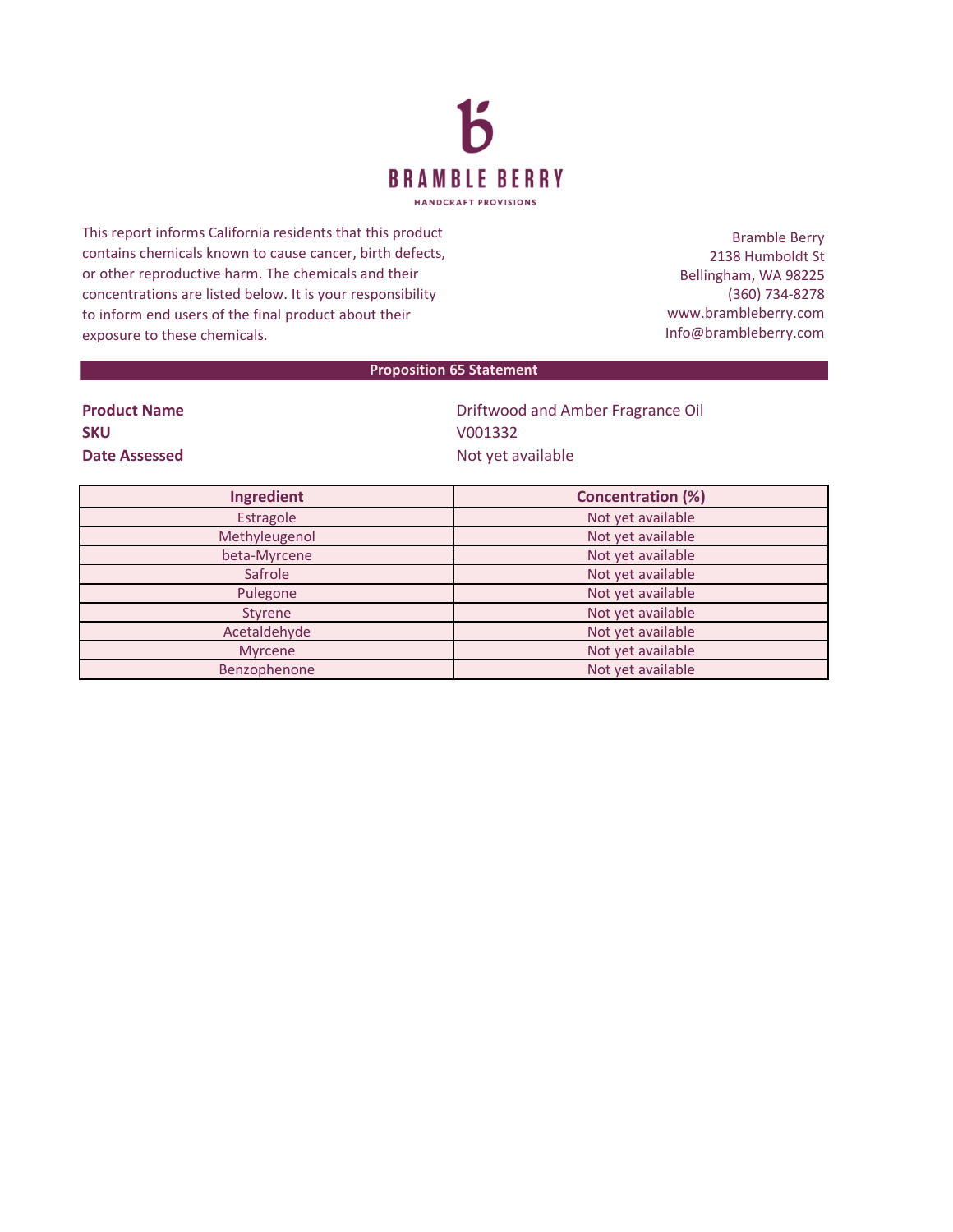

This report informs California residents that this product contains chemicals known to cause cancer, birth defects, or other reproductive harm. The chemicals and their concentrations are listed below. It is your responsibility to inform end users of the final product about their exposure to these chemicals.

Bramble Berry 2138 Humboldt St Bellingham, WA 98225 (360) 734-8278 www.brambleberry.com Info@brambleberry.com

## **Proposition 65 Statement**

| <b>Product Name</b> |  |
|---------------------|--|
| <b>SKU</b>          |  |
| Date Assessed       |  |

**Priftwood and Amber Fragrance Oil SKU** V001332 **Date Assessed** Not yet available

| Ingredient     | <b>Concentration (%)</b> |
|----------------|--------------------------|
| Estragole      | Not yet available        |
| Methyleugenol  | Not yet available        |
| beta-Myrcene   | Not yet available        |
| Safrole        | Not yet available        |
| Pulegone       | Not yet available        |
| Styrene        | Not yet available        |
| Acetaldehyde   | Not yet available        |
| <b>Myrcene</b> | Not yet available        |
| Benzophenone   | Not yet available        |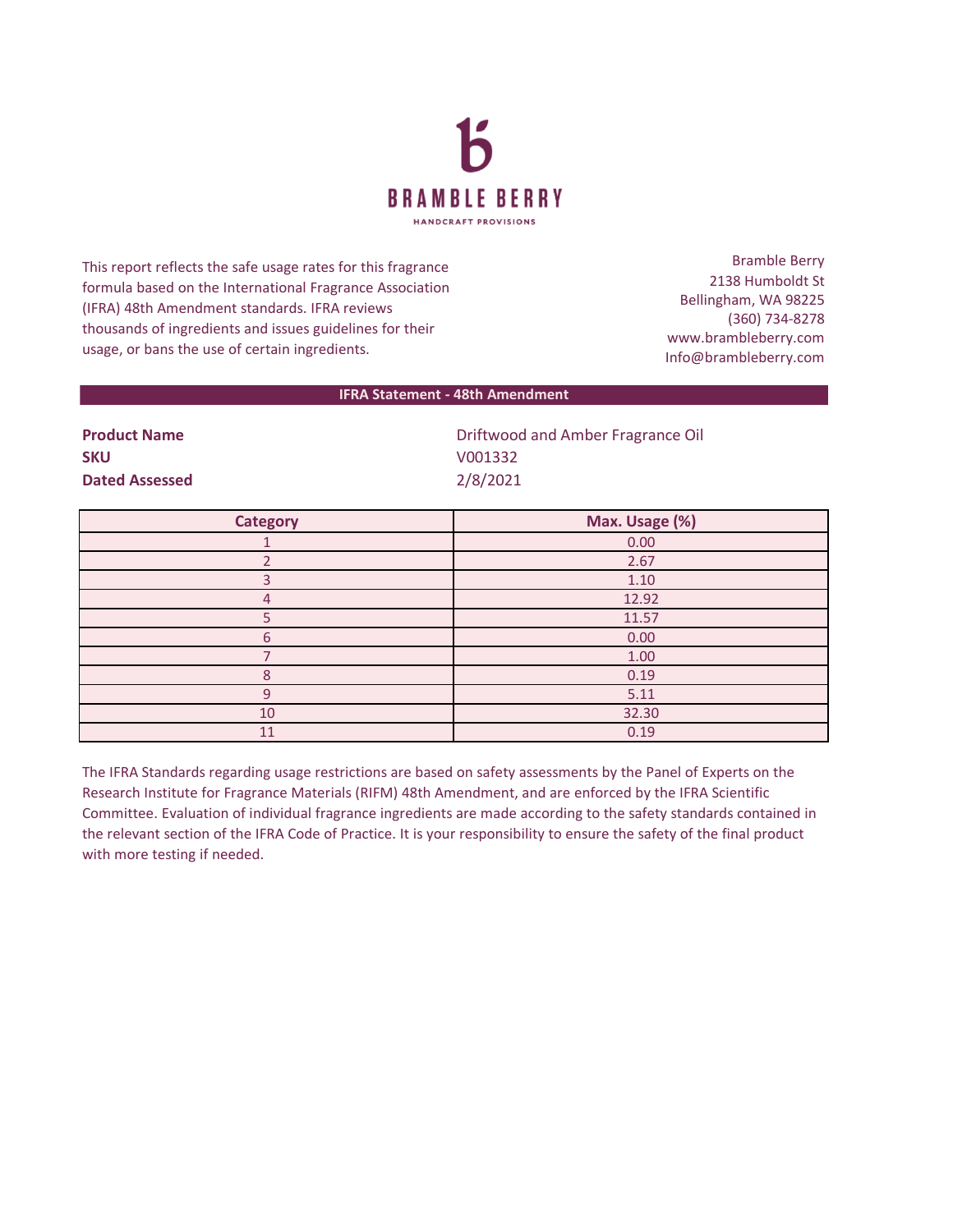

This report reflects the safe usage rates for this fragrance formula based on the International Fragrance Association (IFRA) 48th Amendment standards. IFRA reviews thousands of ingredients and issues guidelines for their usage, or bans the use of certain ingredients.

Bramble Berry 2138 Humboldt St Bellingham, WA 98225 (360) 734-8278 www.brambleberry.com Info@brambleberry.com

## **IFRA Statement - 48th Amendment**

| <b>Product Name</b>   | Driftwood and Amber Fragrance Oil |
|-----------------------|-----------------------------------|
| <b>SKU</b>            | V001332                           |
| <b>Dated Assessed</b> | 2/8/2021                          |

| <b>Category</b> | Max. Usage (%) |
|-----------------|----------------|
|                 | 0.00           |
|                 | 2.67           |
|                 | 1.10           |
| 4               | 12.92          |
|                 | 11.57          |
| 6               | 0.00           |
|                 | 1.00           |
| $\Omega$        | 0.19           |
| $\cap$          | 5.11           |
| 10              | 32.30          |
| 11              | 0.19           |

The IFRA Standards regarding usage restrictions are based on safety assessments by the Panel of Experts on the Research Institute for Fragrance Materials (RIFM) 48th Amendment, and are enforced by the IFRA Scientific Committee. Evaluation of individual fragrance ingredients are made according to the safety standards contained in the relevant section of the IFRA Code of Practice. It is your responsibility to ensure the safety of the final product with more testing if needed.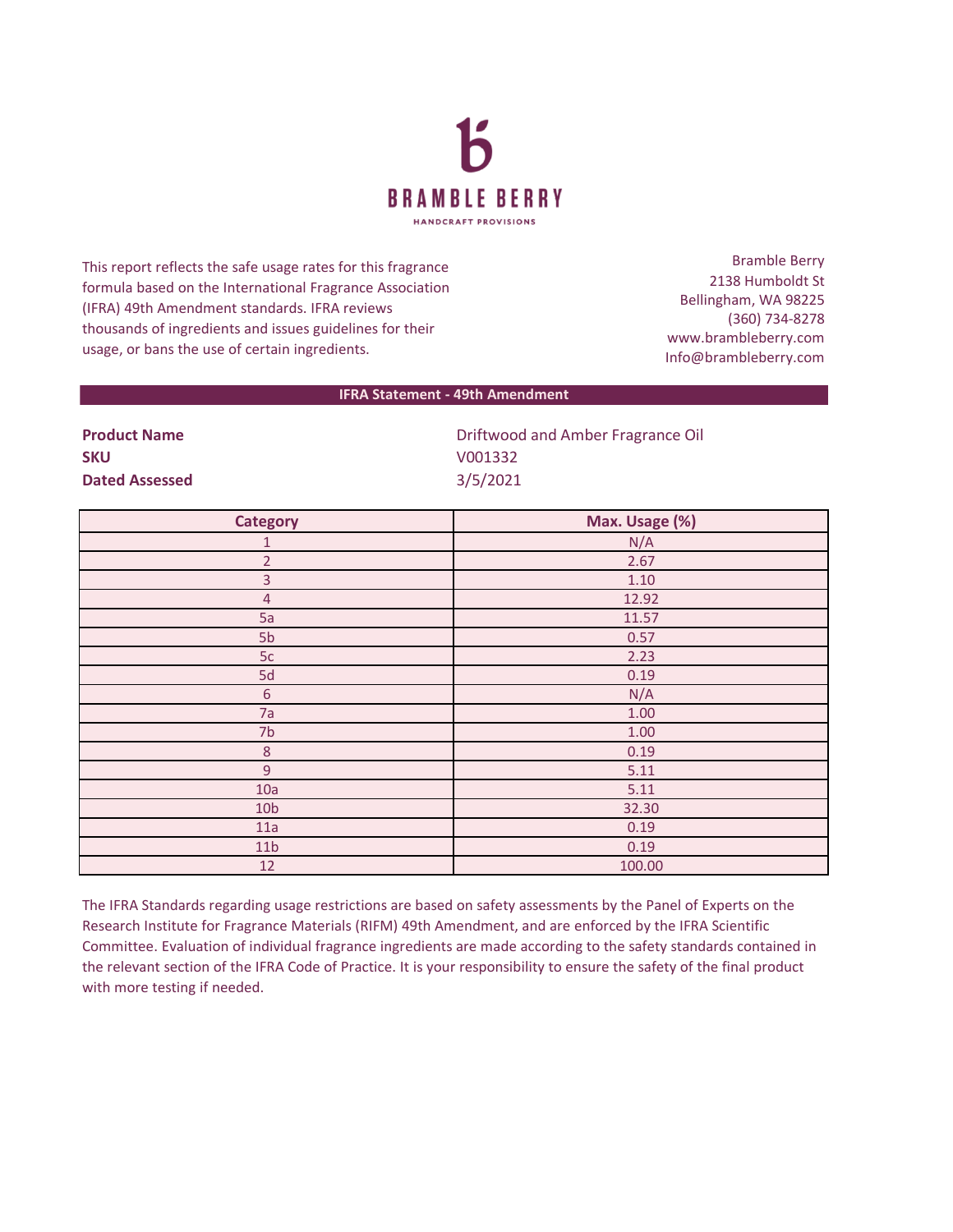

This report reflects the safe usage rates for this fragrance formula based on the International Fragrance Association (IFRA) 49th Amendment standards. IFRA reviews thousands of ingredients and issues guidelines for their usage, or bans the use of certain ingredients.

Bramble Berry 2138 Humboldt St Bellingham, WA 98225 (360) 734-8278 www.brambleberry.com Info@brambleberry.com

## **IFRA Statement - 49th Amendment**

| <b>Product Name</b>   | Driftwood and Amber Fragrance Oil |
|-----------------------|-----------------------------------|
| <b>SKU</b>            | V001332                           |
| <b>Dated Assessed</b> | 3/5/2021                          |

| <b>Category</b> | Max. Usage (%) |
|-----------------|----------------|
| $\mathbf{1}$    | N/A            |
| $\overline{2}$  | 2.67           |
| $\overline{3}$  | 1.10           |
| $\overline{4}$  | 12.92          |
| 5a              | 11.57          |
| 5 <sub>b</sub>  | 0.57           |
| 5c              | 2.23           |
| 5d              | 0.19           |
| $\sqrt{6}$      | N/A            |
| 7a              | $1.00\,$       |
| 7 <sub>b</sub>  | 1.00           |
| $\,8\,$         | 0.19           |
| $\overline{9}$  | 5.11           |
| 10a             | 5.11           |
| 10 <sub>b</sub> | 32.30          |
| 11a             | 0.19           |
| 11 <sub>b</sub> | 0.19           |
| 12              | 100.00         |

The IFRA Standards regarding usage restrictions are based on safety assessments by the Panel of Experts on the Research Institute for Fragrance Materials (RIFM) 49th Amendment, and are enforced by the IFRA Scientific Committee. Evaluation of individual fragrance ingredients are made according to the safety standards contained in the relevant section of the IFRA Code of Practice. It is your responsibility to ensure the safety of the final product with more testing if needed.